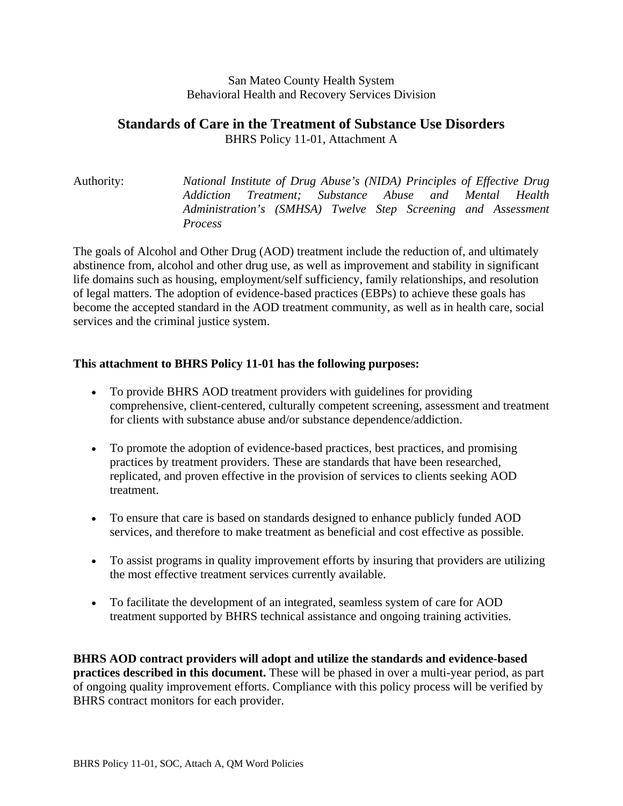#### San Mateo County Health System Behavioral Health and Recovery Services Division

#### **Standards of Care in the Treatment of Substance Use Disorders**  BHRS Policy 11-01, Attachment A

# Authority: *National Institute of Drug Abuse's (NIDA) Principles of Effective Drug Addiction Treatment; Substance Abuse and Mental Health Administration's (SMHSA) Twelve Step Screening and Assessment Process*

The goals of Alcohol and Other Drug (AOD) treatment include the reduction of, and ultimately abstinence from, alcohol and other drug use, as well as improvement and stability in significant life domains such as housing, employment/self sufficiency, family relationships, and resolution of legal matters. The adoption of evidence-based practices (EBPs) to achieve these goals has become the accepted standard in the AOD treatment community, as well as in health care, social services and the criminal justice system.

#### **This attachment to BHRS Policy 11-01 has the following purposes:**

- To provide BHRS AOD treatment providers with guidelines for providing comprehensive, client-centered, culturally competent screening, assessment and treatment for clients with substance abuse and/or substance dependence/addiction.
- To promote the adoption of evidence-based practices, best practices, and promising practices by treatment providers. These are standards that have been researched, replicated, and proven effective in the provision of services to clients seeking AOD treatment.
- To ensure that care is based on standards designed to enhance publicly funded AOD services, and therefore to make treatment as beneficial and cost effective as possible.
- To assist programs in quality improvement efforts by insuring that providers are utilizing the most effective treatment services currently available.
- To facilitate the development of an integrated, seamless system of care for AOD treatment supported by BHRS technical assistance and ongoing training activities.

**BHRS AOD contract providers will adopt and utilize the standards and evidence-based practices described in this document.** These will be phased in over a multi-year period, as part of ongoing quality improvement efforts. Compliance with this policy process will be verified by BHRS contract monitors for each provider.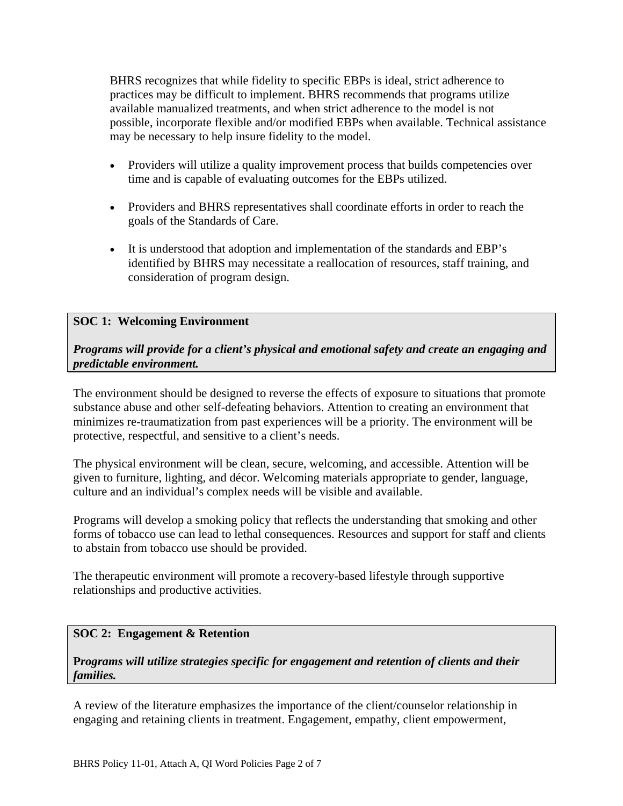BHRS recognizes that while fidelity to specific EBPs is ideal, strict adherence to practices may be difficult to implement. BHRS recommends that programs utilize available manualized treatments, and when strict adherence to the model is not possible, incorporate flexible and/or modified EBPs when available. Technical assistance may be necessary to help insure fidelity to the model.

- Providers will utilize a quality improvement process that builds competencies over time and is capable of evaluating outcomes for the EBPs utilized.
- Providers and BHRS representatives shall coordinate efforts in order to reach the goals of the Standards of Care.
- It is understood that adoption and implementation of the standards and EBP's identified by BHRS may necessitate a reallocation of resources, staff training, and consideration of program design.

# **SOC 1: Welcoming Environment**

*Programs will provide for a client's physical and emotional safety and create an engaging and predictable environment.*

The environment should be designed to reverse the effects of exposure to situations that promote substance abuse and other self-defeating behaviors. Attention to creating an environment that minimizes re-traumatization from past experiences will be a priority. The environment will be protective, respectful, and sensitive to a client's needs.

The physical environment will be clean, secure, welcoming, and accessible. Attention will be given to furniture, lighting, and décor. Welcoming materials appropriate to gender, language, culture and an individual's complex needs will be visible and available.

Programs will develop a smoking policy that reflects the understanding that smoking and other forms of tobacco use can lead to lethal consequences. Resources and support for staff and clients to abstain from tobacco use should be provided.

The therapeutic environment will promote a recovery-based lifestyle through supportive relationships and productive activities.

## **SOC 2: Engagement & Retention**

## **P***rograms will utilize strategies specific for engagement and retention of clients and their families.*

A review of the literature emphasizes the importance of the client/counselor relationship in engaging and retaining clients in treatment. Engagement, empathy, client empowerment,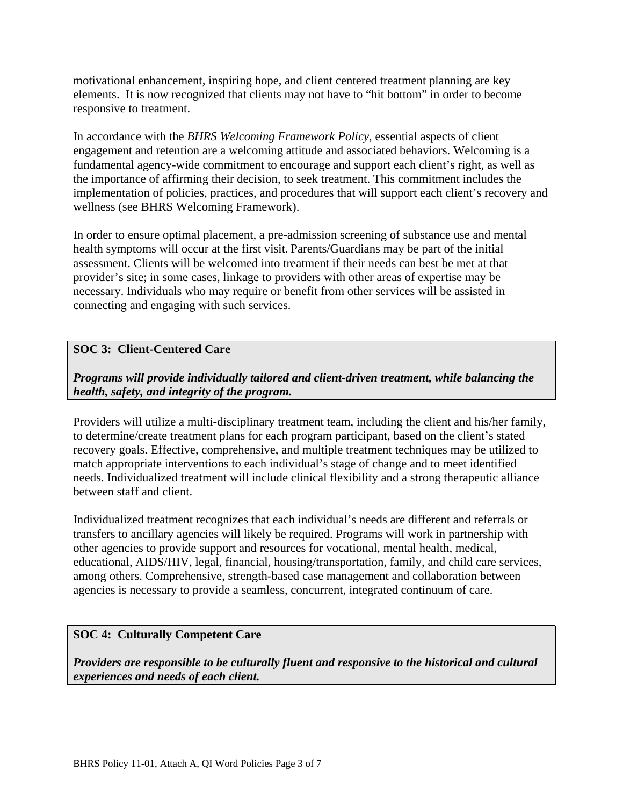motivational enhancement, inspiring hope, and client centered treatment planning are key elements. It is now recognized that clients may not have to "hit bottom" in order to become responsive to treatment.

In accordance with the *BHRS Welcoming Framework Policy*, essential aspects of client engagement and retention are a welcoming attitude and associated behaviors. Welcoming is a fundamental agency-wide commitment to encourage and support each client's right, as well as the importance of affirming their decision, to seek treatment. This commitment includes the implementation of policies, practices, and procedures that will support each client's recovery and wellness (see BHRS Welcoming Framework).

In order to ensure optimal placement, a pre-admission screening of substance use and mental health symptoms will occur at the first visit. Parents/Guardians may be part of the initial assessment. Clients will be welcomed into treatment if their needs can best be met at that provider's site; in some cases, linkage to providers with other areas of expertise may be necessary. Individuals who may require or benefit from other services will be assisted in connecting and engaging with such services.

# **SOC 3: Client-Centered Care**

*Programs will provide individually tailored and client-driven treatment, while balancing the health, safety, and integrity of the program.*

Providers will utilize a multi-disciplinary treatment team, including the client and his/her family, to determine/create treatment plans for each program participant, based on the client's stated recovery goals. Effective, comprehensive, and multiple treatment techniques may be utilized to match appropriate interventions to each individual's stage of change and to meet identified needs. Individualized treatment will include clinical flexibility and a strong therapeutic alliance between staff and client.

Individualized treatment recognizes that each individual's needs are different and referrals or transfers to ancillary agencies will likely be required. Programs will work in partnership with other agencies to provide support and resources for vocational, mental health, medical, educational, AIDS/HIV, legal, financial, housing/transportation, family, and child care services, among others. Comprehensive, strength-based case management and collaboration between agencies is necessary to provide a seamless, concurrent, integrated continuum of care.

## **SOC 4: Culturally Competent Care**

*Providers are responsible to be culturally fluent and responsive to the historical and cultural experiences and needs of each client.*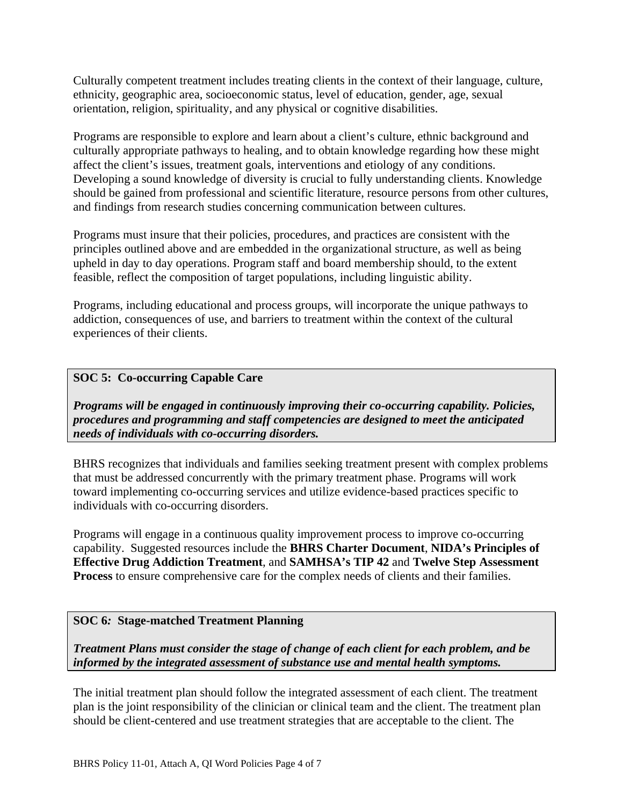Culturally competent treatment includes treating clients in the context of their language, culture, ethnicity, geographic area, socioeconomic status, level of education, gender, age, sexual orientation, religion, spirituality, and any physical or cognitive disabilities.

Programs are responsible to explore and learn about a client's culture, ethnic background and culturally appropriate pathways to healing, and to obtain knowledge regarding how these might affect the client's issues, treatment goals, interventions and etiology of any conditions. Developing a sound knowledge of diversity is crucial to fully understanding clients. Knowledge should be gained from professional and scientific literature, resource persons from other cultures, and findings from research studies concerning communication between cultures.

Programs must insure that their policies, procedures, and practices are consistent with the principles outlined above and are embedded in the organizational structure, as well as being upheld in day to day operations. Program staff and board membership should, to the extent feasible, reflect the composition of target populations, including linguistic ability.

Programs, including educational and process groups, will incorporate the unique pathways to addiction, consequences of use, and barriers to treatment within the context of the cultural experiences of their clients.

## **SOC 5: Co-occurring Capable Care**

*Programs will be engaged in continuously improving their co-occurring capability. Policies, procedures and programming and staff competencies are designed to meet the anticipated needs of individuals with co-occurring disorders.*

BHRS recognizes that individuals and families seeking treatment present with complex problems that must be addressed concurrently with the primary treatment phase. Programs will work toward implementing co-occurring services and utilize evidence-based practices specific to individuals with co-occurring disorders.

Programs will engage in a continuous quality improvement process to improve co-occurring capability. Suggested resources include the **BHRS Charter Document**, **NIDA's Principles of Effective Drug Addiction Treatment**, and **SAMHSA's TIP 42** and **Twelve Step Assessment Process** to ensure comprehensive care for the complex needs of clients and their families.

## **SOC 6***:* **Stage-matched Treatment Planning**

*Treatment Plans must consider the stage of change of each client for each problem, and be informed by the integrated assessment of substance use and mental health symptoms.*

The initial treatment plan should follow the integrated assessment of each client. The treatment plan is the joint responsibility of the clinician or clinical team and the client. The treatment plan should be client-centered and use treatment strategies that are acceptable to the client. The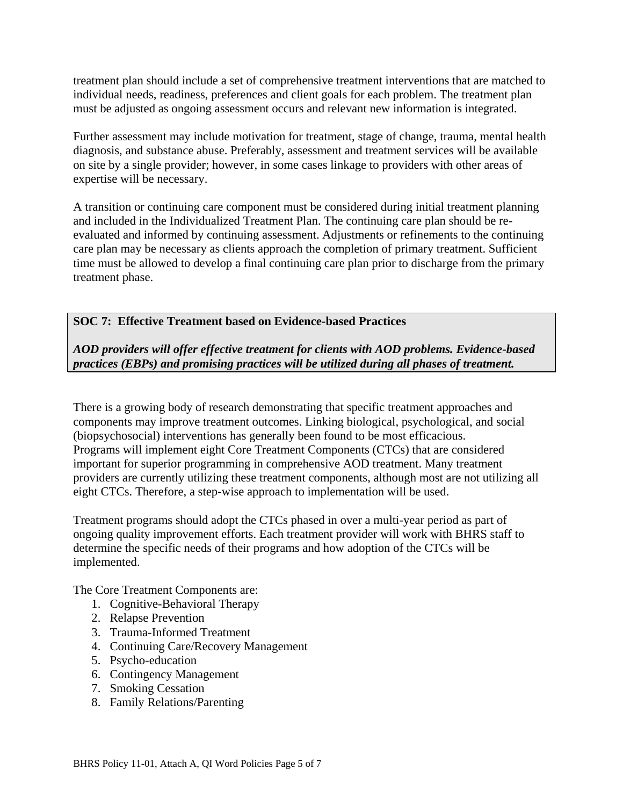treatment plan should include a set of comprehensive treatment interventions that are matched to individual needs, readiness, preferences and client goals for each problem. The treatment plan must be adjusted as ongoing assessment occurs and relevant new information is integrated.

Further assessment may include motivation for treatment, stage of change, trauma, mental health diagnosis, and substance abuse. Preferably, assessment and treatment services will be available on site by a single provider; however, in some cases linkage to providers with other areas of expertise will be necessary.

A transition or continuing care component must be considered during initial treatment planning and included in the Individualized Treatment Plan. The continuing care plan should be reevaluated and informed by continuing assessment. Adjustments or refinements to the continuing care plan may be necessary as clients approach the completion of primary treatment. Sufficient time must be allowed to develop a final continuing care plan prior to discharge from the primary treatment phase.

## **SOC 7: Effective Treatment based on Evidence-based Practices**

# *AOD providers will offer effective treatment for clients with AOD problems. Evidence-based practices (EBPs) and promising practices will be utilized during all phases of treatment.*

There is a growing body of research demonstrating that specific treatment approaches and components may improve treatment outcomes. Linking biological, psychological, and social (biopsychosocial) interventions has generally been found to be most efficacious. Programs will implement eight Core Treatment Components (CTCs) that are considered important for superior programming in comprehensive AOD treatment. Many treatment providers are currently utilizing these treatment components, although most are not utilizing all eight CTCs. Therefore, a step-wise approach to implementation will be used.

Treatment programs should adopt the CTCs phased in over a multi-year period as part of ongoing quality improvement efforts. Each treatment provider will work with BHRS staff to determine the specific needs of their programs and how adoption of the CTCs will be implemented.

The Core Treatment Components are:

- 1. Cognitive-Behavioral Therapy
- 2. Relapse Prevention
- 3. Trauma-Informed Treatment
- 4. Continuing Care/Recovery Management
- 5. Psycho-education
- 6. Contingency Management
- 7. Smoking Cessation
- 8. Family Relations/Parenting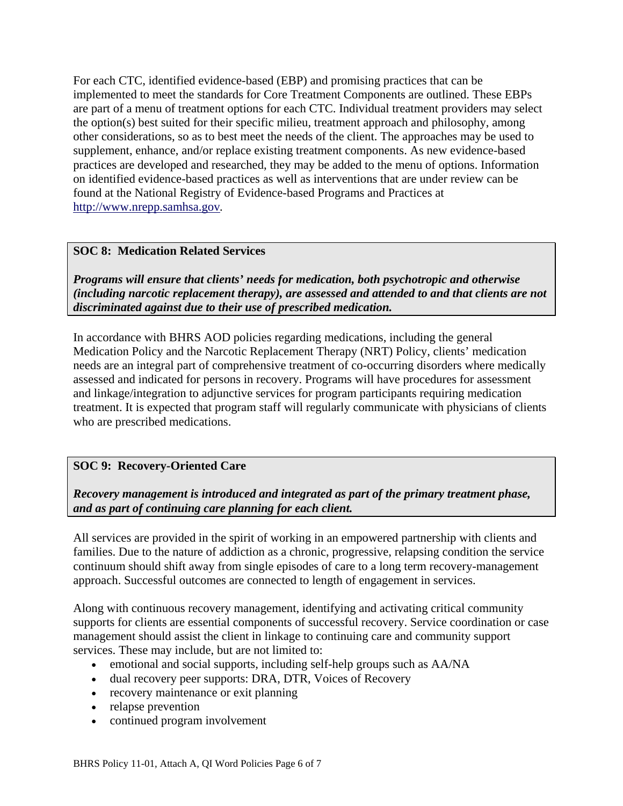For each CTC, identified evidence-based (EBP) and promising practices that can be implemented to meet the standards for Core Treatment Components are outlined. These EBPs are part of a menu of treatment options for each CTC. Individual treatment providers may select the option(s) best suited for their specific milieu, treatment approach and philosophy, among other considerations, so as to best meet the needs of the client. The approaches may be used to supplement, enhance, and/or replace existing treatment components. As new evidence-based practices are developed and researched, they may be added to the menu of options. Information on identified evidence-based practices as well as interventions that are under review can be found at the National Registry of Evidence-based Programs and Practices at http://www.nrepp.samhsa.gov*.*

## **SOC 8:****Medication Related Services**

*Programs will ensure that clients' needs for medication, both psychotropic and otherwise (including narcotic replacement therapy), are assessed and attended to and that clients are not discriminated against due to their use of prescribed medication.* 

In accordance with BHRS AOD policies regarding medications, including the general Medication Policy and the Narcotic Replacement Therapy (NRT) Policy, clients' medication needs are an integral part of comprehensive treatment of co-occurring disorders where medically assessed and indicated for persons in recovery. Programs will have procedures for assessment and linkage/integration to adjunctive services for program participants requiring medication treatment. It is expected that program staff will regularly communicate with physicians of clients who are prescribed medications.

## **SOC 9: Recovery-Oriented Care**

*Recovery management is introduced and integrated as part of the primary treatment phase, and as part of continuing care planning for each client.* 

All services are provided in the spirit of working in an empowered partnership with clients and families. Due to the nature of addiction as a chronic, progressive, relapsing condition the service continuum should shift away from single episodes of care to a long term recovery-management approach. Successful outcomes are connected to length of engagement in services.

Along with continuous recovery management, identifying and activating critical community supports for clients are essential components of successful recovery. Service coordination or case management should assist the client in linkage to continuing care and community support services. These may include, but are not limited to:

- emotional and social supports, including self-help groups such as AA/NA
- dual recovery peer supports: DRA, DTR, Voices of Recovery
- recovery maintenance or exit planning
- relapse prevention
- continued program involvement